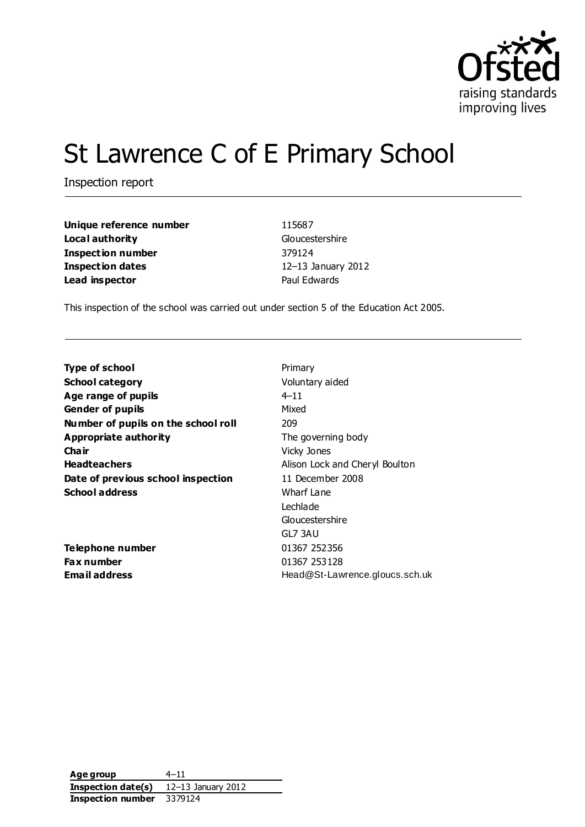

# St Lawrence C of E Primary School

Inspection report

| Unique reference number  |  |  |
|--------------------------|--|--|
| Local authority          |  |  |
| <b>Inspection number</b> |  |  |
| <b>Inspection dates</b>  |  |  |
| Lead inspector           |  |  |

**Unique reference number** 115687 **Gloucestershire Inspection number** 379124 **Inspection dates** 12–13 January 2012 **Paul Edwards** 

This inspection of the school was carried out under section 5 of the Education Act 2005.

| <b>Type of school</b>               | Primary                        |
|-------------------------------------|--------------------------------|
| <b>School category</b>              | Voluntary aided                |
| Age range of pupils                 | $4 - 11$                       |
| <b>Gender of pupils</b>             | Mixed                          |
| Number of pupils on the school roll | 209                            |
| <b>Appropriate authority</b>        | The governing body             |
| Cha ir                              | Vicky Jones                    |
| <b>Headteachers</b>                 | Alison Lock and Cheryl Boulton |
| Date of previous school inspection  | 11 December 2008               |
| <b>School address</b>               | Wharf Lane                     |
|                                     | Lechlade                       |
|                                     | Gloucestershire                |
|                                     | GL7 3AU                        |
| Telephone number                    | 01367 252356                   |
| Fax number                          | 01367 253128                   |
| Email address                       | Head@St-Lawrence.gloucs.sch.uk |
|                                     |                                |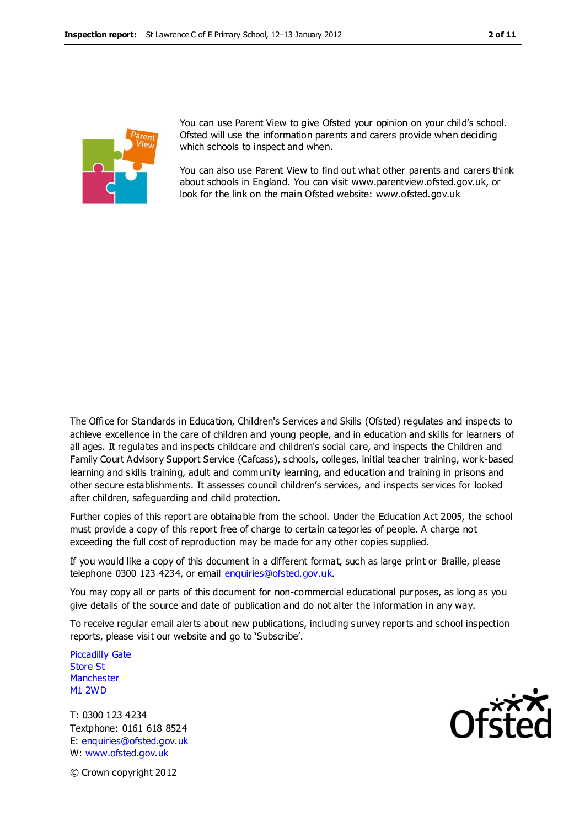

You can use Parent View to give Ofsted your opinion on your child's school. Ofsted will use the information parents and carers provide when deciding which schools to inspect and when.

You can also use Parent View to find out what other parents and carers think about schools in England. You can visit www.parentview.ofsted.gov.uk, or look for the link on the main Ofsted website: www.ofsted.gov.uk

The Office for Standards in Education, Children's Services and Skills (Ofsted) regulates and inspects to achieve excellence in the care of children and young people, and in education and skills for learners of all ages. It regulates and inspects childcare and children's social care, and inspects the Children and Family Court Advisory Support Service (Cafcass), schools, colleges, initial teacher training, work-based learning and skills training, adult and community learning, and education and training in prisons and other secure establishments. It assesses council children's services, and inspects services for looked after children, safeguarding and child protection.

Further copies of this report are obtainable from the school. Under the Education Act 2005, the school must provide a copy of this report free of charge to certain categories of people. A charge not exceeding the full cost of reproduction may be made for any other copies supplied.

If you would like a copy of this document in a different format, such as large print or Braille, please telephone 0300 123 4234, or email enquiries@ofsted.gov.uk.

You may copy all or parts of this document for non-commercial educational purposes, as long as you give details of the source and date of publication and do not alter the information in any way.

To receive regular email alerts about new publications, including survey reports and school inspection reports, please visit our website and go to 'Subscribe'.

Piccadilly Gate Store St **Manchester** M1 2WD

T: 0300 123 4234 Textphone: 0161 618 8524 E: enquiries@ofsted.gov.uk W: www.ofsted.gov.uk



© Crown copyright 2012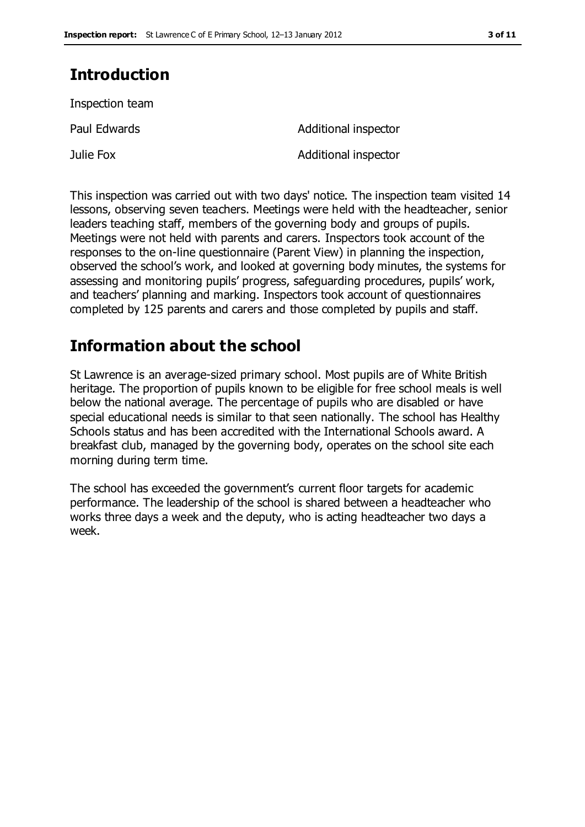## **Introduction**

Inspection team

Paul Edwards **Additional inspector** Julie Fox **Additional inspector** 

This inspection was carried out with two days' notice. The inspection team visited 14 lessons, observing seven teachers. Meetings were held with the headteacher, senior leaders teaching staff, members of the governing body and groups of pupils. Meetings were not held with parents and carers. Inspectors took account of the responses to the on-line questionnaire (Parent View) in planning the inspection, observed the school's work, and looked at governing body minutes, the systems for assessing and monitoring pupils' progress, safeguarding procedures, pupils' work, and teachers' planning and marking. Inspectors took account of questionnaires completed by 125 parents and carers and those completed by pupils and staff.

## **Information about the school**

St Lawrence is an average-sized primary school. Most pupils are of White British heritage. The proportion of pupils known to be eligible for free school meals is well below the national average. The percentage of pupils who are disabled or have special educational needs is similar to that seen nationally. The school has Healthy Schools status and has been accredited with the International Schools award. A breakfast club, managed by the governing body, operates on the school site each morning during term time.

The school has exceeded the government's current floor targets for academic performance. The leadership of the school is shared between a headteacher who works three days a week and the deputy, who is acting headteacher two days a week.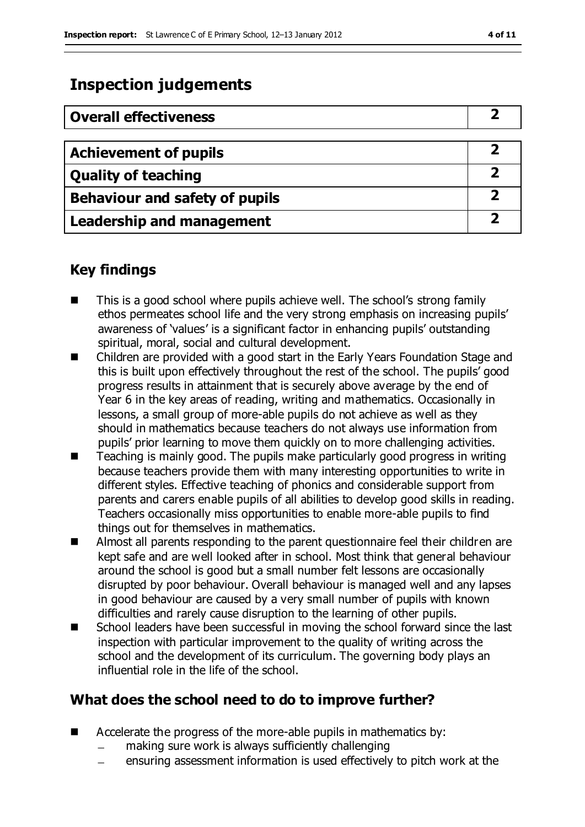## **Inspection judgements**

| <b>Overall effectiveness</b>     |   |
|----------------------------------|---|
| <b>Achievement of pupils</b>     |   |
| <b>Quality of teaching</b>       |   |
| Behaviour and safety of pupils   |   |
| <b>Leadership and management</b> | כ |

## **Key findings**

- This is a good school where pupils achieve well. The school's strong family ethos permeates school life and the very strong emphasis on increasing pupils' awareness of 'values' is a significant factor in enhancing pupils' outstanding spiritual, moral, social and cultural development.
- Children are provided with a good start in the Early Years Foundation Stage and this is built upon effectively throughout the rest of the school. The pupils' good progress results in attainment that is securely above average by the end of Year 6 in the key areas of reading, writing and mathematics. Occasionally in lessons, a small group of more-able pupils do not achieve as well as they should in mathematics because teachers do not always use information from pupils' prior learning to move them quickly on to more challenging activities.
- $\blacksquare$  Teaching is mainly good. The pupils make particularly good progress in writing because teachers provide them with many interesting opportunities to write in different styles. Effective teaching of phonics and considerable support from parents and carers enable pupils of all abilities to develop good skills in reading. Teachers occasionally miss opportunities to enable more-able pupils to find things out for themselves in mathematics.
- Almost all parents responding to the parent questionnaire feel their children are kept safe and are well looked after in school. Most think that general behaviour around the school is good but a small number felt lessons are occasionally disrupted by poor behaviour. Overall behaviour is managed well and any lapses in good behaviour are caused by a very small number of pupils with known difficulties and rarely cause disruption to the learning of other pupils.
- School leaders have been successful in moving the school forward since the last inspection with particular improvement to the quality of writing across the school and the development of its curriculum. The governing body plays an influential role in the life of the school.

## **What does the school need to do to improve further?**

- Accelerate the progress of the more-able pupils in mathematics by:
	- making sure work is always sufficiently challenging
	- ensuring assessment information is used effectively to pitch work at the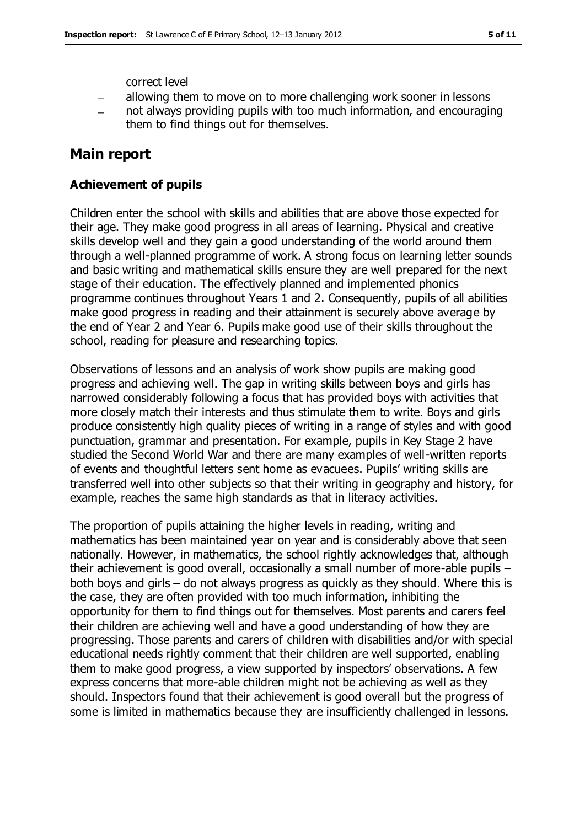correct level

- allowing them to move on to more challenging work sooner in lessons
- not always providing pupils with too much information, and encouraging them to find things out for themselves.

### **Main report**

#### **Achievement of pupils**

Children enter the school with skills and abilities that are above those expected for their age. They make good progress in all areas of learning. Physical and creative skills develop well and they gain a good understanding of the world around them through a well-planned programme of work. A strong focus on learning letter sounds and basic writing and mathematical skills ensure they are well prepared for the next stage of their education. The effectively planned and implemented phonics programme continues throughout Years 1 and 2. Consequently, pupils of all abilities make good progress in reading and their attainment is securely above average by the end of Year 2 and Year 6. Pupils make good use of their skills throughout the school, reading for pleasure and researching topics.

Observations of lessons and an analysis of work show pupils are making good progress and achieving well. The gap in writing skills between boys and girls has narrowed considerably following a focus that has provided boys with activities that more closely match their interests and thus stimulate them to write. Boys and girls produce consistently high quality pieces of writing in a range of styles and with good punctuation, grammar and presentation. For example, pupils in Key Stage 2 have studied the Second World War and there are many examples of well-written reports of events and thoughtful letters sent home as evacuees. Pupils' writing skills are transferred well into other subjects so that their writing in geography and history, for example, reaches the same high standards as that in literacy activities.

The proportion of pupils attaining the higher levels in reading, writing and mathematics has been maintained year on year and is considerably above that seen nationally. However, in mathematics, the school rightly acknowledges that, although their achievement is good overall, occasionally a small number of more-able pupils – both boys and girls – do not always progress as quickly as they should. Where this is the case, they are often provided with too much information, inhibiting the opportunity for them to find things out for themselves. Most parents and carers feel their children are achieving well and have a good understanding of how they are progressing. Those parents and carers of children with disabilities and/or with special educational needs rightly comment that their children are well supported, enabling them to make good progress, a view supported by inspectors' observations. A few express concerns that more-able children might not be achieving as well as they should. Inspectors found that their achievement is good overall but the progress of some is limited in mathematics because they are insufficiently challenged in lessons.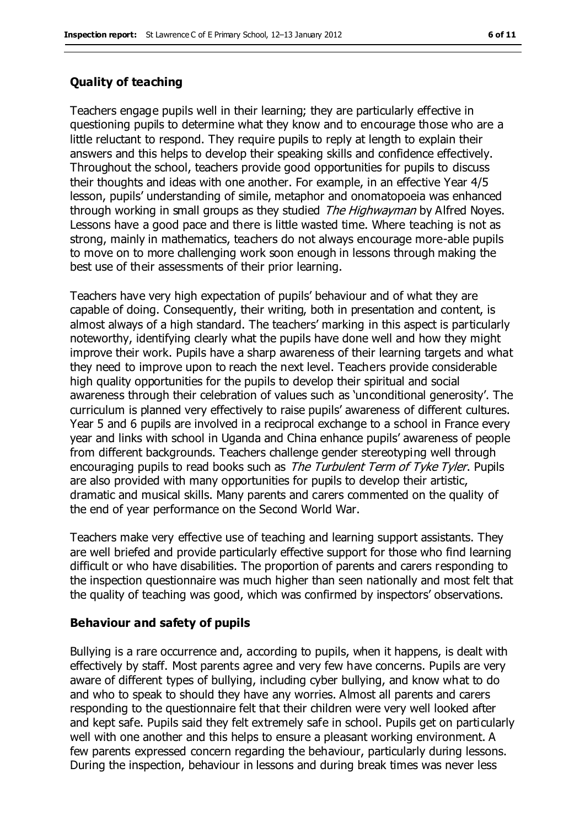### **Quality of teaching**

Teachers engage pupils well in their learning; they are particularly effective in questioning pupils to determine what they know and to encourage those who are a little reluctant to respond. They require pupils to reply at length to explain their answers and this helps to develop their speaking skills and confidence effectively. Throughout the school, teachers provide good opportunities for pupils to discuss their thoughts and ideas with one another. For example, in an effective Year 4/5 lesson, pupils' understanding of simile, metaphor and onomatopoeia was enhanced through working in small groups as they studied *The Highwayman* by Alfred Noyes. Lessons have a good pace and there is little wasted time. Where teaching is not as strong, mainly in mathematics, teachers do not always encourage more-able pupils to move on to more challenging work soon enough in lessons through making the best use of their assessments of their prior learning.

Teachers have very high expectation of pupils' behaviour and of what they are capable of doing. Consequently, their writing, both in presentation and content, is almost always of a high standard. The teachers' marking in this aspect is particularly noteworthy, identifying clearly what the pupils have done well and how they might improve their work. Pupils have a sharp awareness of their learning targets and what they need to improve upon to reach the next level. Teachers provide considerable high quality opportunities for the pupils to develop their spiritual and social awareness through their celebration of values such as 'unconditional generosity'. The curriculum is planned very effectively to raise pupils' awareness of different cultures. Year 5 and 6 pupils are involved in a reciprocal exchange to a school in France every year and links with school in Uganda and China enhance pupils' awareness of people from different backgrounds. Teachers challenge gender stereotyping well through encouraging pupils to read books such as *The Turbulent Term of Tyke Tyler*. Pupils are also provided with many opportunities for pupils to develop their artistic, dramatic and musical skills. Many parents and carers commented on the quality of the end of year performance on the Second World War.

Teachers make very effective use of teaching and learning support assistants. They are well briefed and provide particularly effective support for those who find learning difficult or who have disabilities. The proportion of parents and carers responding to the inspection questionnaire was much higher than seen nationally and most felt that the quality of teaching was good, which was confirmed by inspectors' observations.

#### **Behaviour and safety of pupils**

Bullying is a rare occurrence and, according to pupils, when it happens, is dealt with effectively by staff. Most parents agree and very few have concerns. Pupils are very aware of different types of bullying, including cyber bullying, and know what to do and who to speak to should they have any worries. Almost all parents and carers responding to the questionnaire felt that their children were very well looked after and kept safe. Pupils said they felt extremely safe in school. Pupils get on particularly well with one another and this helps to ensure a pleasant working environment. A few parents expressed concern regarding the behaviour, particularly during lessons. During the inspection, behaviour in lessons and during break times was never less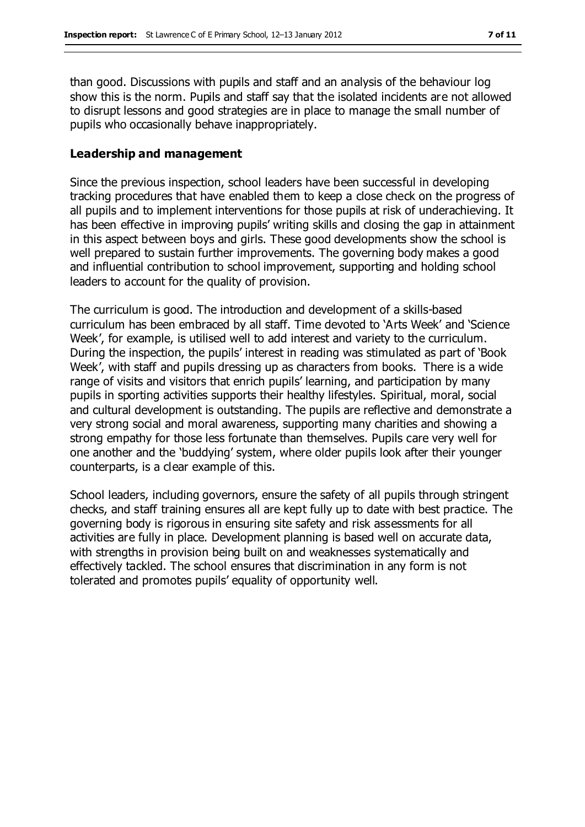than good. Discussions with pupils and staff and an analysis of the behaviour log show this is the norm. Pupils and staff say that the isolated incidents are not allowed to disrupt lessons and good strategies are in place to manage the small number of pupils who occasionally behave inappropriately.

#### **Leadership and management**

Since the previous inspection, school leaders have been successful in developing tracking procedures that have enabled them to keep a close check on the progress of all pupils and to implement interventions for those pupils at risk of underachieving. It has been effective in improving pupils' writing skills and closing the gap in attainment in this aspect between boys and girls. These good developments show the school is well prepared to sustain further improvements. The governing body makes a good and influential contribution to school improvement, supporting and holding school leaders to account for the quality of provision.

The curriculum is good. The introduction and development of a skills-based curriculum has been embraced by all staff. Time devoted to 'Arts Week' and 'Science Week', for example, is utilised well to add interest and variety to the curriculum. During the inspection, the pupils' interest in reading was stimulated as part of 'Book Week', with staff and pupils dressing up as characters from books. There is a wide range of visits and visitors that enrich pupils' learning, and participation by many pupils in sporting activities supports their healthy lifestyles. Spiritual, moral, social and cultural development is outstanding. The pupils are reflective and demonstrate a very strong social and moral awareness, supporting many charities and showing a strong empathy for those less fortunate than themselves. Pupils care very well for one another and the 'buddying' system, where older pupils look after their younger counterparts, is a clear example of this.

School leaders, including governors, ensure the safety of all pupils through stringent checks, and staff training ensures all are kept fully up to date with best practice. The governing body is rigorous in ensuring site safety and risk assessments for all activities are fully in place. Development planning is based well on accurate data, with strengths in provision being built on and weaknesses systematically and effectively tackled. The school ensures that discrimination in any form is not tolerated and promotes pupils' equality of opportunity well.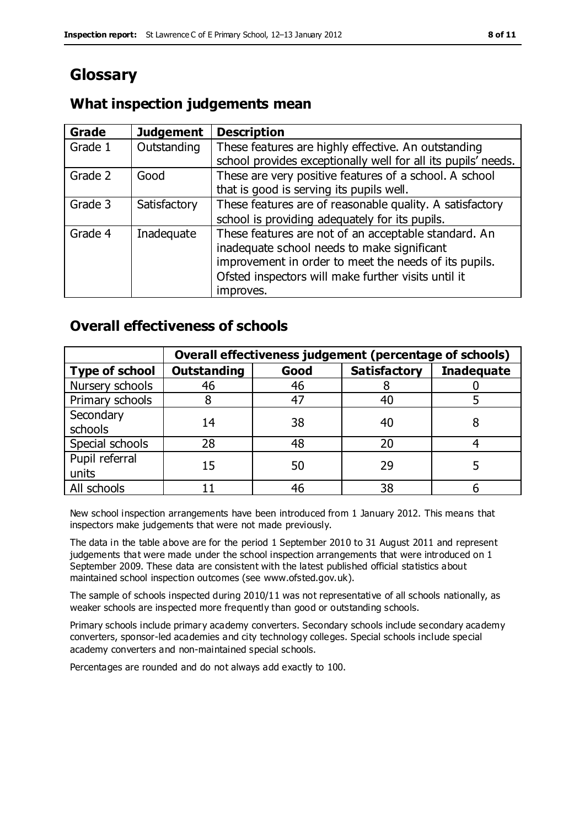## **Glossary**

## **What inspection judgements mean**

| <b>Grade</b> | <b>Judgement</b> | <b>Description</b>                                                                                                                                                                                                               |
|--------------|------------------|----------------------------------------------------------------------------------------------------------------------------------------------------------------------------------------------------------------------------------|
| Grade 1      | Outstanding      | These features are highly effective. An outstanding<br>school provides exceptionally well for all its pupils' needs.                                                                                                             |
| Grade 2      | Good             | These are very positive features of a school. A school<br>that is good is serving its pupils well.                                                                                                                               |
| Grade 3      | Satisfactory     | These features are of reasonable quality. A satisfactory<br>school is providing adequately for its pupils.                                                                                                                       |
| Grade 4      | Inadequate       | These features are not of an acceptable standard. An<br>inadequate school needs to make significant<br>improvement in order to meet the needs of its pupils.<br>Ofsted inspectors will make further visits until it<br>improves. |

## **Overall effectiveness of schools**

|                         | Overall effectiveness judgement (percentage of schools) |      |                     |                   |
|-------------------------|---------------------------------------------------------|------|---------------------|-------------------|
| <b>Type of school</b>   | <b>Outstanding</b>                                      | Good | <b>Satisfactory</b> | <b>Inadequate</b> |
| Nursery schools         | 46                                                      | 46   |                     |                   |
| Primary schools         |                                                         | 47   | 40                  |                   |
| Secondary<br>schools    | 14                                                      | 38   | 40                  |                   |
| Special schools         | 28                                                      | 48   | 20                  |                   |
| Pupil referral<br>units | 15                                                      | 50   | 29                  |                   |
| All schools             |                                                         | 46   | 38                  |                   |

New school inspection arrangements have been introduced from 1 January 2012. This means that inspectors make judgements that were not made previously.

The data in the table above are for the period 1 September 2010 to 31 August 2011 and represent judgements that were made under the school inspection arrangements that were introduced on 1 September 2009. These data are consistent with the latest published official statistics about maintained school inspection outcomes (see www.ofsted.gov.uk).

The sample of schools inspected during 2010/11 was not representative of all schools nationally, as weaker schools are inspected more frequently than good or outstanding schools.

Primary schools include primary academy converters. Secondary schools include secondary academy converters, sponsor-led academies and city technology colleges. Special schools include special academy converters and non-maintained special schools.

Percentages are rounded and do not always add exactly to 100.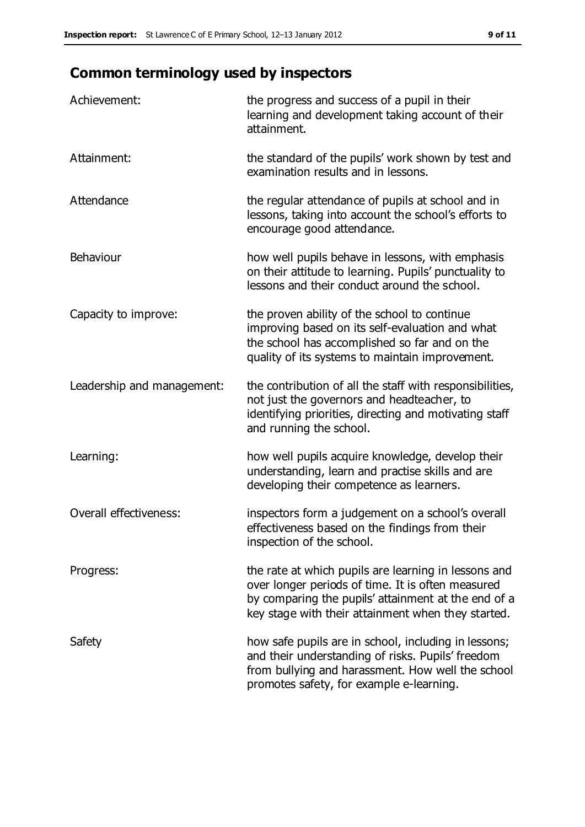## **Common terminology used by inspectors**

| Achievement:                  | the progress and success of a pupil in their<br>learning and development taking account of their<br>attainment.                                                                                                        |
|-------------------------------|------------------------------------------------------------------------------------------------------------------------------------------------------------------------------------------------------------------------|
| Attainment:                   | the standard of the pupils' work shown by test and<br>examination results and in lessons.                                                                                                                              |
| Attendance                    | the regular attendance of pupils at school and in<br>lessons, taking into account the school's efforts to<br>encourage good attendance.                                                                                |
| Behaviour                     | how well pupils behave in lessons, with emphasis<br>on their attitude to learning. Pupils' punctuality to<br>lessons and their conduct around the school.                                                              |
| Capacity to improve:          | the proven ability of the school to continue<br>improving based on its self-evaluation and what<br>the school has accomplished so far and on the<br>quality of its systems to maintain improvement.                    |
| Leadership and management:    | the contribution of all the staff with responsibilities,<br>not just the governors and headteacher, to<br>identifying priorities, directing and motivating staff<br>and running the school.                            |
| Learning:                     | how well pupils acquire knowledge, develop their<br>understanding, learn and practise skills and are<br>developing their competence as learners.                                                                       |
| <b>Overall effectiveness:</b> | inspectors form a judgement on a school's overall<br>effectiveness based on the findings from their<br>inspection of the school.                                                                                       |
| Progress:                     | the rate at which pupils are learning in lessons and<br>over longer periods of time. It is often measured<br>by comparing the pupils' attainment at the end of a<br>key stage with their attainment when they started. |
| Safety                        | how safe pupils are in school, including in lessons;<br>and their understanding of risks. Pupils' freedom<br>from bullying and harassment. How well the school<br>promotes safety, for example e-learning.             |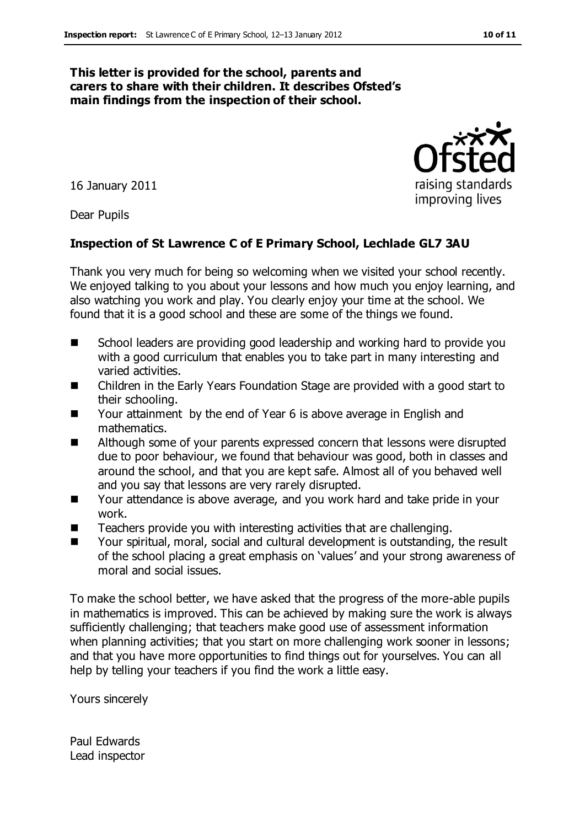### **This letter is provided for the school, parents and carers to share with their children. It describes Ofsted's main findings from the inspection of their school.**

16 January 2011

Dear Pupils

### **Inspection of St Lawrence C of E Primary School, Lechlade GL7 3AU**

Thank you very much for being so welcoming when we visited your school recently. We enjoyed talking to you about your lessons and how much you enjoy learning, and also watching you work and play. You clearly enjoy your time at the school. We found that it is a good school and these are some of the things we found.

- School leaders are providing good leadership and working hard to provide you with a good curriculum that enables you to take part in many interesting and varied activities.
- Children in the Early Years Foundation Stage are provided with a good start to their schooling.
- Your attainment by the end of Year 6 is above average in English and mathematics.
- Although some of your parents expressed concern that lessons were disrupted due to poor behaviour, we found that behaviour was good, both in classes and around the school, and that you are kept safe. Almost all of you behaved well and you say that lessons are very rarely disrupted.
- Your attendance is above average, and you work hard and take pride in your work.
- Teachers provide you with interesting activities that are challenging.
- Your spiritual, moral, social and cultural development is outstanding, the result of the school placing a great emphasis on 'values' and your strong awareness of moral and social issues.

To make the school better, we have asked that the progress of the more-able pupils in mathematics is improved. This can be achieved by making sure the work is always sufficiently challenging; that teachers make good use of assessment information when planning activities; that you start on more challenging work sooner in lessons; and that you have more opportunities to find things out for yourselves. You can all help by telling your teachers if you find the work a little easy.

Yours sincerely

Paul Edwards Lead inspector